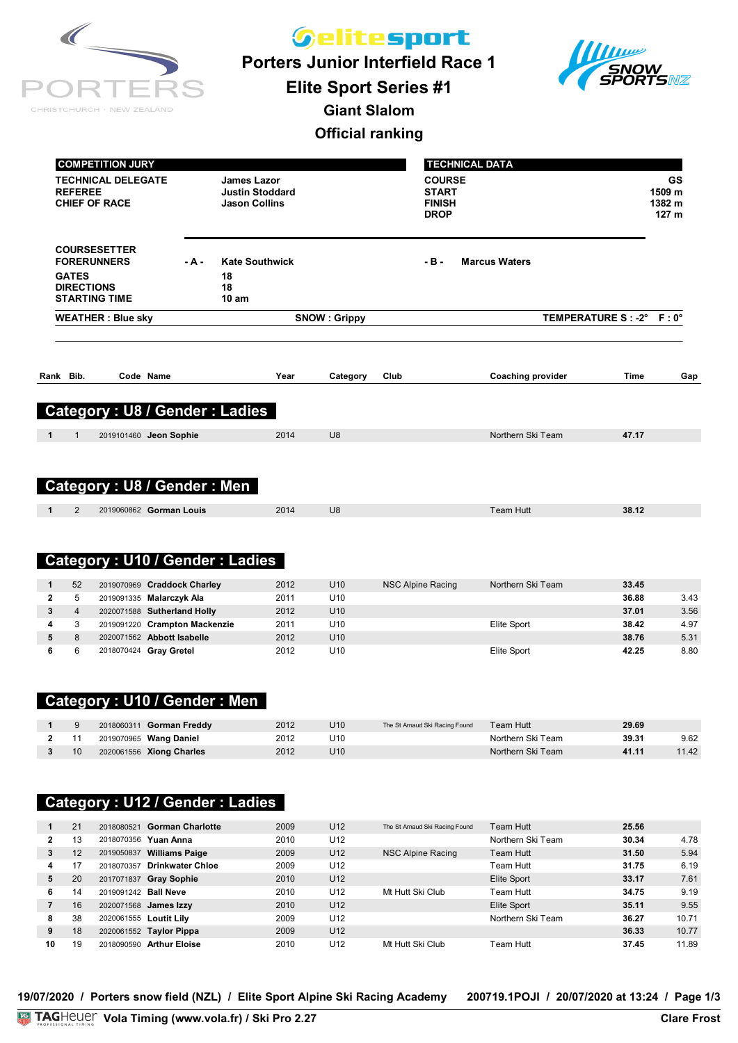| CHRISTCHURCH · NEW ZEALAND |  |
|----------------------------|--|

*Gelitesport* 

**Porters Junior Interfield Race 1**



**Elite Sport Series #1**

**Giant Slalom**

#### **Official ranking**

| <b>COMPETITION JURY</b><br><b>TECHNICAL DELEGATE</b><br><b>REFEREE</b><br><b>CHIEF OF RACE</b> |           | James Lazor<br><b>Justin Stoddard</b><br><b>Jason Collins</b> |                     |      | <b>COURSE</b><br><b>START</b><br><b>FINISH</b><br><b>DROP</b> | <b>TECHNICAL DATA</b>    |                          | GS<br>1509 m<br>1382 m<br>127 <sub>m</sub> |
|------------------------------------------------------------------------------------------------|-----------|---------------------------------------------------------------|---------------------|------|---------------------------------------------------------------|--------------------------|--------------------------|--------------------------------------------|
| <b>COURSESETTER</b><br><b>FORERUNNERS</b>                                                      | $-$ A $-$ | <b>Kate Southwick</b>                                         |                     |      | $-B -$                                                        | <b>Marcus Waters</b>     |                          |                                            |
| <b>GATES</b><br><b>DIRECTIONS</b><br><b>STARTING TIME</b>                                      |           | 18<br>18<br>10 <sub>am</sub>                                  |                     |      |                                                               |                          |                          |                                            |
| <b>WEATHER: Blue sky</b>                                                                       |           |                                                               | <b>SNOW: Grippy</b> |      |                                                               |                          | TEMPERATURE S: -2° F: 0° |                                            |
| Rank Bib.<br>Code Name                                                                         |           | Year                                                          | Category            | Club |                                                               | <b>Coaching provider</b> | <b>Time</b>              | Gap                                        |
| <b>Category: U8 / Gender: Ladies</b>                                                           |           |                                                               |                     |      |                                                               |                          |                          |                                            |
|                                                                                                |           |                                                               |                     |      |                                                               |                          |                          |                                            |
| $\mathbf{1}$<br>$\mathbf{1}$<br>2019101460 Jeon Sophie                                         |           | 2014                                                          | U8                  |      |                                                               | Northern Ski Team        | 47.17                    |                                            |
| Category: U8 / Gender: Men                                                                     |           |                                                               |                     |      |                                                               |                          |                          |                                            |

### **Category : U10 / Gender : Ladies**

| 52 | 2019070969 Craddock Charley   | 2012 | U <sub>10</sub> | NSC Alpine Racing | Northern Ski Team | 33.45 |      |
|----|-------------------------------|------|-----------------|-------------------|-------------------|-------|------|
| 5  | 2019091335 Malarczyk Ala      | 2011 | U <sub>10</sub> |                   |                   | 36.88 | 3.43 |
| 4  | 2020071588 Sutherland Holly   | 2012 | U <sub>10</sub> |                   |                   | 37.01 | 3.56 |
| 3  | 2019091220 Crampton Mackenzie | 2011 | U10             |                   | Elite Sport       | 38.42 | 4.97 |
| 8  | 2020071562 Abbott Isabelle    | 2012 | U <sub>10</sub> |                   |                   | 38.76 | 5.31 |
| 6  | 2018070424 Gray Gretel        | 2012 | U10             |                   | Elite Sport       | 42.25 | 8.80 |

## **Category : U10 / Gender : Men**

|    | 2018060311 <b>Gorman Freddy</b> | 2012 | U10             | The St Arnaud Ski Racing Found | Team Hutt_        | 29.69 |       |
|----|---------------------------------|------|-----------------|--------------------------------|-------------------|-------|-------|
|    | 2019070965 Wang Daniel          | 2012 | U10             |                                | Northern Ski Team | 39.31 | 9.62  |
| 10 | 2020061556 Xiong Charles        | 2012 | U <sub>10</sub> |                                | Northern Ski Team | 41.11 | 11.42 |

## **Category : U12 / Gender : Ladies**

|              | 21 | 2018080521             | <b>Gorman Charlotte</b> | 2009 | U12             | The St Arnaud Ski Racing Found | Team Hutt         | 25.56 |       |
|--------------|----|------------------------|-------------------------|------|-----------------|--------------------------------|-------------------|-------|-------|
| $\mathbf{2}$ | 13 |                        | 2018070356 Yuan Anna    | 2010 | U12             |                                | Northern Ski Team | 30.34 | 4.78  |
| 3            | 12 | 2019050837             | <b>Williams Paige</b>   | 2009 | U <sub>12</sub> | NSC Alpine Racing              | Team Hutt         | 31.50 | 5.94  |
| 4            | 17 | 2018070357             | <b>Drinkwater Chloe</b> | 2009 | U12             |                                | Team Hutt         | 31.75 | 6.19  |
| 5            | 20 | 2017071837             | <b>Gray Sophie</b>      | 2010 | U <sub>12</sub> |                                | Elite Sport       | 33.17 | 7.61  |
| 6            | 14 | 2019091242 Ball Neve   |                         | 2010 | U12             | Mt Hutt Ski Club               | Team Hutt         | 34.75 | 9.19  |
|              | 16 |                        | 2020071568 James Izzy   | 2010 | U <sub>12</sub> |                                | Elite Sport       | 35.11 | 9.55  |
| 8            | 38 | 2020061555 Loutit Lily |                         | 2009 | U12             |                                | Northern Ski Team | 36.27 | 10.71 |
| 9            | 18 |                        | 2020061552 Taylor Pippa | 2009 | U <sub>12</sub> |                                |                   | 36.33 | 10.77 |
| 10           | 19 | 2018090590             | <b>Arthur Eloise</b>    | 2010 | U12             | Mt Hutt Ski Club               | Team Hutt         | 37.45 | 11.89 |

**19/07/2020 / Porters snow field (NZL) / Elite Sport Alpine Ski Racing Academy 200719.1POJI / 20/07/2020 at 13:24 / Page 1/3**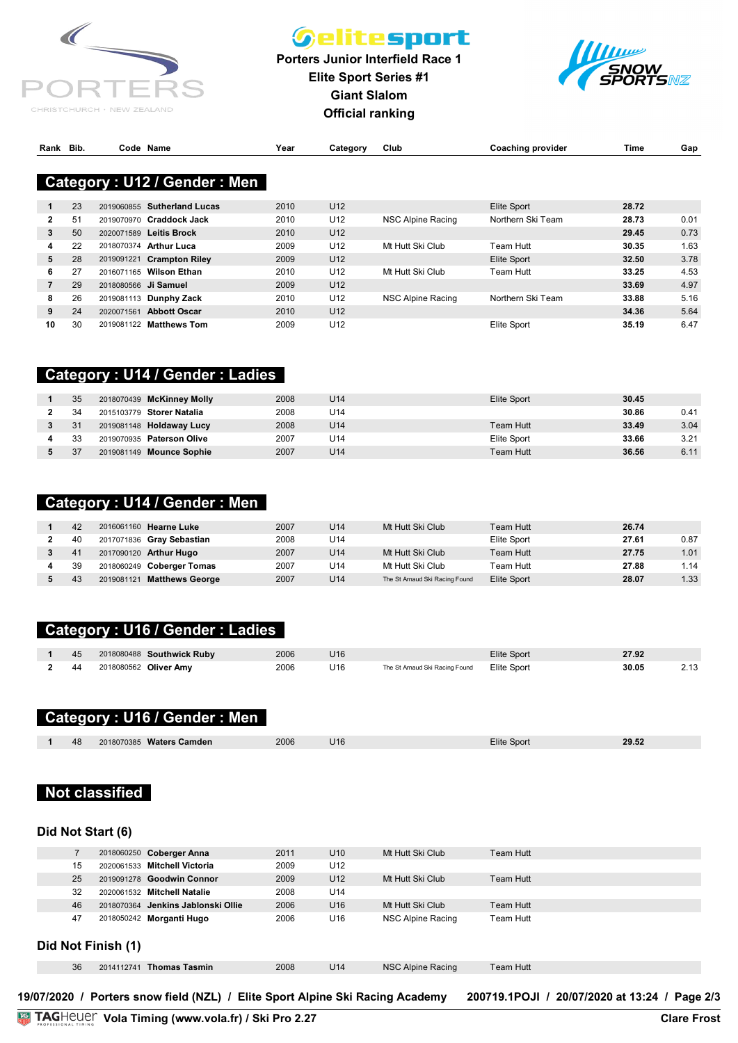

## *Gelitesport*

**Porters Junior Interfield Race 1 Elite Sport Series #1 Giant Slalom Official ranking**



| Rank Bib. |  | Code Name                                                                                                                             | Year | Category | Club | <b>Coaching provider</b> | Time | Gar |
|-----------|--|---------------------------------------------------------------------------------------------------------------------------------------|------|----------|------|--------------------------|------|-----|
|           |  |                                                                                                                                       |      |          |      |                          |      |     |
|           |  | $\mathbf{A}$ . The same is a set of $\mathbf{A}$ and $\mathbf{A}$ and $\mathbf{A}$ and $\mathbf{A}$ and $\mathbf{A}$ and $\mathbf{A}$ |      |          |      |                          |      |     |

#### ategory : **U12 / Gender : Men** L **REFEREE Justin Stoddard Category : U12 / Gender : Men**

|    | 23 | 2019060855 Sutherland Lucas       | 2010 | U <sub>12</sub> |                   | Elite Sport       | 28.72 |      |
|----|----|-----------------------------------|------|-----------------|-------------------|-------------------|-------|------|
| 2  | 51 | 2019070970 Craddock Jack          | 2010 | U12             | NSC Alpine Racing | Northern Ski Team | 28.73 | 0.01 |
| 3  | 50 | 2020071589 Leitis Brock           | 2010 | U <sub>12</sub> |                   |                   | 29.45 | 0.73 |
| 4  | 22 | 2018070374 Arthur Luca            | 2009 | U <sub>12</sub> | Mt Hutt Ski Club  | Team Hutt         | 30.35 | 1.63 |
| 5  | 28 | 2019091221 Crampton Riley         | 2009 | U <sub>12</sub> |                   | Elite Sport       | 32.50 | 3.78 |
| 6  | 27 | 2016071165 Wilson Ethan           | 2010 | U <sub>12</sub> | Mt Hutt Ski Club  | Team Hutt         | 33.25 | 4.53 |
|    | 29 | 2018080566 Ji Samuel              | 2009 | U <sub>12</sub> |                   |                   | 33.69 | 4.97 |
| 8  | 26 | 2019081113 Dunphy Zack            | 2010 | U <sub>12</sub> | NSC Alpine Racing | Northern Ski Team | 33.88 | 5.16 |
| 9  | 24 | <b>Abbott Oscar</b><br>2020071561 | 2010 | U <sub>12</sub> |                   |                   | 34.36 | 5.64 |
| 10 | 30 | 2019081122 Matthews Tom           | 2009 | U <sub>12</sub> |                   | Elite Sport       | 35.19 | 6.47 |

#### **Category : U14 / Gender : Ladies**

| 35 | 2018070439 McKinney Molly | 2008 | U14 | Elite Sport | 30.45 |      |
|----|---------------------------|------|-----|-------------|-------|------|
| 34 | 2015103779 Storer Natalia | 2008 | U14 |             | 30.86 | 0.41 |
| 31 | 2019081148 Holdaway Lucy  | 2008 | U14 | Team Hutt   | 33.49 | 3.04 |
| 33 | 2019070935 Paterson Olive | 2007 | U14 | Elite Sport | 33.66 | 3.21 |
| 37 | 2019081149 Mounce Sophie  | 2007 | U14 | Team Hutt   | 36.56 | 6.11 |

#### **Category : U14 / Gender : Men**

| 42 | 2016061160 Hearne Luke     | 2007 | U14 | Mt Hutt Ski Club               | Team Hutt   | 26.74 |      |
|----|----------------------------|------|-----|--------------------------------|-------------|-------|------|
| 40 | 2017071836 Gray Sebastian  | 2008 | U14 |                                | Elite Sport | 27.61 | 0.87 |
| 41 | 2017090120 Arthur Hugo     | 2007 | U14 | Mt Hutt Ski Club               | Team Hutt   | 27.75 | 1.01 |
| 39 | 2018060249 Coberger Tomas  | 2007 | U14 | Mt Hutt Ski Club               | Team Hutt   | 27.88 | 1.14 |
| 43 | 2019081121 Matthews George | 2007 | U14 | The St Arnaud Ski Racing Found | Elite Sport | 28.07 | 1.33 |

#### **Category : U16 / Gender : Ladies**

|     | 2018080488 Southwick Ruby | 2006 | U16 |                                | <b>Elite Sport</b> | 27.92 |  |
|-----|---------------------------|------|-----|--------------------------------|--------------------|-------|--|
| -44 | 2018080562 Oliver Amy     | 2006 | J16 | The St Arnaud Ski Racing Found | Elite Sport        | 30.05 |  |

#### **Category : U16 / Gender : Men**

| 48 | 2018070385 Waters Camden | 2006 | U16 | <b>Elite Sport</b> | 29.52 |
|----|--------------------------|------|-----|--------------------|-------|
|    |                          |      |     |                    |       |

#### **Not classified**

#### **Did Not Start (6)**

|                    | 2018060250 Coberger Anna           | 2011 | U <sub>10</sub> | Mt Hutt Ski Club  | Team Hutt |  |
|--------------------|------------------------------------|------|-----------------|-------------------|-----------|--|
| 15                 | 2020061533 Mitchell Victoria       | 2009 | U12             |                   |           |  |
| 25                 | 2019091278 Goodwin Connor          | 2009 | U <sub>12</sub> | Mt Hutt Ski Club  | Team Hutt |  |
| 32                 | 2020061532 Mitchell Natalie        | 2008 | U14             |                   |           |  |
| 46                 | 2018070364 Jenkins Jablonski Ollie | 2006 | U <sub>16</sub> | Mt Hutt Ski Club  | Team Hutt |  |
| 47                 | 2018050242 Morganti Hugo           | 2006 | U16             | NSC Alpine Racing | Team Hutt |  |
|                    |                                    |      |                 |                   |           |  |
| Did Not Finish (1) |                                    |      |                 |                   |           |  |

| 36 | 2014112741 Thomas Tasmin | 2008 | U14 | NSC Alpine Racing | <b>Team Hutt</b> |
|----|--------------------------|------|-----|-------------------|------------------|

**19/07/2020 / Porters snow field (NZL) / Elite Sport Alpine Ski Racing Academy 200719.1POJI / 20/07/2020 at 13:24 / Page 2/3**